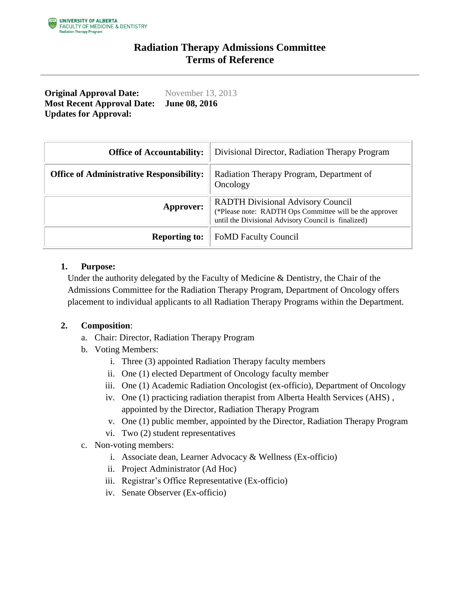## **Radiation Therapy Admissions Committee Terms of Reference**

**Original Approval Date:** November 13, 2013 **Most Recent Approval Date: Updates for Approval: June 08, 2016**

| <b>Office of Accountability:</b>                | Divisional Director, Radiation Therapy Program                                                                                                             |
|-------------------------------------------------|------------------------------------------------------------------------------------------------------------------------------------------------------------|
| <b>Office of Administrative Responsibility:</b> | Radiation Therapy Program, Department of<br>Oncology                                                                                                       |
| Approver:                                       | <b>RADTH Divisional Advisory Council</b><br>(*Please note: RADTH Ops Committee will be the approver<br>until the Divisional Advisory Council is finalized) |
| <b>Reporting to:</b>                            | <b>FoMD Faculty Council</b>                                                                                                                                |

#### **1. Purpose:**

Under the authority delegated by the Faculty of Medicine & Dentistry, the Chair of the Admissions Committee for the Radiation Therapy Program, Department of Oncology offers placement to individual applicants to all Radiation Therapy Programs within the Department.

#### **2. Composition**:

- a. Chair: Director, Radiation Therapy Program
- b. Voting Members:
	- i. Three (3) appointed Radiation Therapy faculty members
	- ii. One (1) elected Department of Oncology faculty member
	- iii. One (1) Academic Radiation Oncologist (ex-officio), Department of Oncology
	- iv. One (1) practicing radiation therapist from Alberta Health Services (AHS) , appointed by the Director, Radiation Therapy Program
	- v. One (1) public member, appointed by the Director, Radiation Therapy Program
	- vi. Two (2) student representatives
- c. Non-voting members:
	- i. Associate dean, Learner Advocacy & Wellness (Ex-officio)
	- ii. Project Administrator (Ad Hoc)
	- iii. Registrar's Office Representative (Ex-officio)
	- iv. Senate Observer (Ex-officio)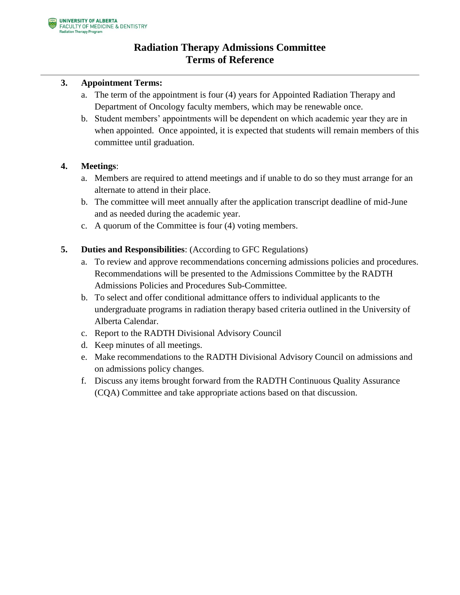# **Radiation Therapy Admissions Committee Terms of Reference**

### **3. Appointment Terms:**

- a. The term of the appointment is four (4) years for Appointed Radiation Therapy and Department of Oncology faculty members, which may be renewable once.
- b. Student members' appointments will be dependent on which academic year they are in when appointed. Once appointed, it is expected that students will remain members of this committee until graduation.

### **4. Meetings**:

- a. Members are required to attend meetings and if unable to do so they must arrange for an alternate to attend in their place.
- b. The committee will meet annually after the application transcript deadline of mid-June and as needed during the academic year.
- c. A quorum of the Committee is four (4) voting members.
- **5. Duties and Responsibilities**: (According to GFC Regulations)
	- a. To review and approve recommendations concerning admissions policies and procedures. Recommendations will be presented to the Admissions Committee by the RADTH Admissions Policies and Procedures Sub-Committee.
	- b. To select and offer conditional admittance offers to individual applicants to the undergraduate programs in radiation therapy based criteria outlined in the University of Alberta Calendar.
	- c. Report to the RADTH Divisional Advisory Council
	- d. Keep minutes of all meetings.
	- e. Make recommendations to the RADTH Divisional Advisory Council on admissions and on admissions policy changes.
	- f. Discuss any items brought forward from the RADTH Continuous Quality Assurance (CQA) Committee and take appropriate actions based on that discussion.